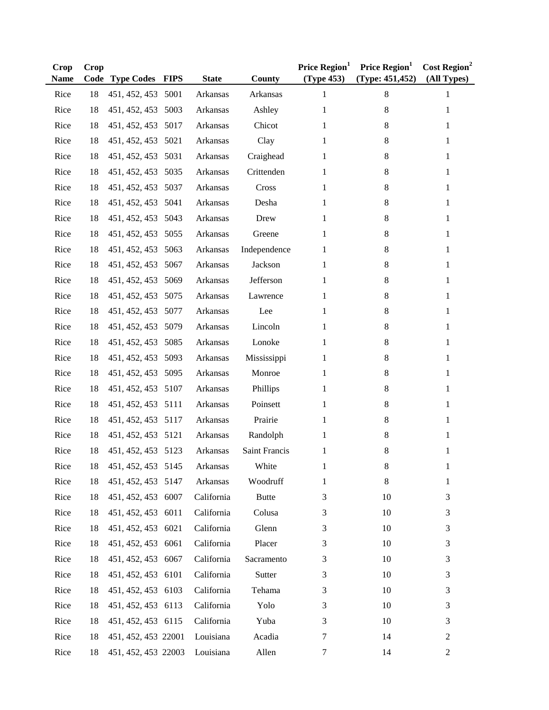| <b>Crop</b><br>Name | Crop<br>Code | <b>Type Codes FIPS</b> | <b>State</b> | County        | Price Region <sup>1</sup><br>(Type 453) | Price Region <sup>1</sup><br>(Type: 451, 452) | Cost Region <sup>2</sup><br>(All Types) |
|---------------------|--------------|------------------------|--------------|---------------|-----------------------------------------|-----------------------------------------------|-----------------------------------------|
| Rice                | 18           | 451, 452, 453 5001     | Arkansas     | Arkansas      | 1                                       | 8                                             | 1                                       |
| Rice                | 18           | 451, 452, 453 5003     | Arkansas     | Ashley        | 1                                       | 8                                             | 1                                       |
| Rice                | 18           | 451, 452, 453 5017     | Arkansas     | Chicot        | 1                                       | 8                                             | 1                                       |
| Rice                | 18           | 451, 452, 453 5021     | Arkansas     | Clay          | 1                                       | 8                                             | 1                                       |
| Rice                | 18           | 451, 452, 453 5031     | Arkansas     | Craighead     | 1                                       | 8                                             | 1                                       |
| Rice                | 18           | 451, 452, 453 5035     | Arkansas     | Crittenden    | 1                                       | 8                                             | $\mathbf{1}$                            |
| Rice                | 18           | 451, 452, 453 5037     | Arkansas     | Cross         | 1                                       | 8                                             | 1                                       |
| Rice                | 18           | 451, 452, 453 5041     | Arkansas     | Desha         | 1                                       | 8                                             | $\mathbf{1}$                            |
| Rice                | 18           | 451, 452, 453 5043     | Arkansas     | Drew          | 1                                       | 8                                             | $\mathbf{1}$                            |
| Rice                | 18           | 451, 452, 453 5055     | Arkansas     | Greene        | 1                                       | 8                                             | $\mathbf{1}$                            |
| Rice                | 18           | 451, 452, 453 5063     | Arkansas     | Independence  | 1                                       | 8                                             | 1                                       |
| Rice                | 18           | 451, 452, 453 5067     | Arkansas     | Jackson       | 1                                       | 8                                             | 1                                       |
| Rice                | 18           | 451, 452, 453 5069     | Arkansas     | Jefferson     | 1                                       | 8                                             | 1                                       |
| Rice                | 18           | 451, 452, 453 5075     | Arkansas     | Lawrence      | 1                                       | 8                                             | 1                                       |
| Rice                | 18           | 451, 452, 453 5077     | Arkansas     | Lee           | 1                                       | 8                                             | 1                                       |
| Rice                | 18           | 451, 452, 453 5079     | Arkansas     | Lincoln       | 1                                       | 8                                             | 1                                       |
| Rice                | 18           | 451, 452, 453 5085     | Arkansas     | Lonoke        | 1                                       | 8                                             | 1                                       |
| Rice                | 18           | 451, 452, 453 5093     | Arkansas     | Mississippi   | 1                                       | 8                                             | 1                                       |
| Rice                | 18           | 451, 452, 453 5095     | Arkansas     | Monroe        | 1                                       | 8                                             | 1                                       |
| Rice                | 18           | 451, 452, 453 5107     | Arkansas     | Phillips      | 1                                       | 8                                             | 1                                       |
| Rice                | 18           | 451, 452, 453 5111     | Arkansas     | Poinsett      | 1                                       | 8                                             | $\mathbf{1}$                            |
| Rice                | 18           | 451, 452, 453 5117     | Arkansas     | Prairie       | 1                                       | 8                                             | $\mathbf{1}$                            |
| Rice                | 18           | 451, 452, 453 5121     | Arkansas     | Randolph      | 1                                       | 8                                             | $\mathbf{1}$                            |
| Rice                | 18           | 451, 452, 453 5123     | Arkansas     | Saint Francis | 1                                       | 8                                             | 1                                       |
| Rice                | 18           | 451, 452, 453 5145     | Arkansas     | White         | 1                                       | 8                                             | 1                                       |
| Rice                | 18           | 451, 452, 453 5147     | Arkansas     | Woodruff      | 1                                       | 8                                             | 1                                       |
| Rice                | 18           | 451, 452, 453 6007     | California   | <b>Butte</b>  | 3                                       | 10                                            | 3                                       |
| Rice                | 18           | 451, 452, 453 6011     | California   | Colusa        | 3                                       | 10                                            | $\mathfrak{Z}$                          |
| Rice                | 18           | 451, 452, 453 6021     | California   | Glenn         | 3                                       | 10                                            | 3                                       |
| Rice                | 18           | 451, 452, 453 6061     | California   | Placer        | 3                                       | 10                                            | 3                                       |
| Rice                | 18           | 451, 452, 453 6067     | California   | Sacramento    | 3                                       | 10                                            | 3                                       |
| Rice                | 18           | 451, 452, 453 6101     | California   | Sutter        | 3                                       | 10                                            | 3                                       |
| Rice                | 18           | 451, 452, 453 6103     | California   | Tehama        | 3                                       | 10                                            | 3                                       |
| Rice                | 18           | 451, 452, 453 6113     | California   | Yolo          | 3                                       | 10                                            | 3                                       |
| Rice                | 18           | 451, 452, 453 6115     | California   | Yuba          | 3                                       | 10                                            | 3                                       |
| Rice                | 18           | 451, 452, 453 22001    | Louisiana    | Acadia        | 7                                       | 14                                            | $\overline{c}$                          |
| Rice                | 18           | 451, 452, 453 22003    | Louisiana    | Allen         | 7                                       | 14                                            | $\overline{c}$                          |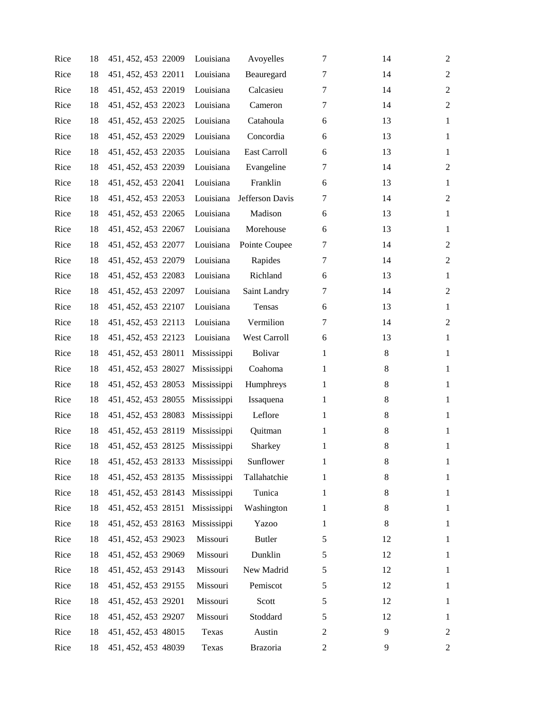| Rice | 18 | 451, 452, 453 22009             | Louisiana   | Avoyelles           | 7              | 14      | 2                |
|------|----|---------------------------------|-------------|---------------------|----------------|---------|------------------|
| Rice | 18 | 451, 452, 453 22011             | Louisiana   | Beauregard          | 7              | 14      | $\overline{2}$   |
| Rice | 18 | 451, 452, 453 22019             | Louisiana   | Calcasieu           | 7              | 14      | $\overline{2}$   |
| Rice | 18 | 451, 452, 453 22023             | Louisiana   | Cameron             | 7              | 14      | $\boldsymbol{2}$ |
| Rice | 18 | 451, 452, 453 22025             | Louisiana   | Catahoula           | 6              | 13      | $\mathbf{1}$     |
| Rice | 18 | 451, 452, 453 22029             | Louisiana   | Concordia           | 6              | 13      | $\mathbf{1}$     |
| Rice | 18 | 451, 452, 453 22035             | Louisiana   | <b>East Carroll</b> | 6              | 13      | $\mathbf{1}$     |
| Rice | 18 | 451, 452, 453 22039             | Louisiana   | Evangeline          | 7              | 14      | $\overline{c}$   |
| Rice | 18 | 451, 452, 453 22041             | Louisiana   | Franklin            | 6              | 13      | $\mathbf{1}$     |
| Rice | 18 | 451, 452, 453 22053             | Louisiana   | Jefferson Davis     | 7              | 14      | $\overline{2}$   |
| Rice | 18 | 451, 452, 453 22065             | Louisiana   | Madison             | 6              | 13      | $\mathbf{1}$     |
| Rice | 18 | 451, 452, 453 22067             | Louisiana   | Morehouse           | 6              | 13      | $\mathbf{1}$     |
| Rice | 18 | 451, 452, 453 22077             | Louisiana   | Pointe Coupee       | 7              | 14      | $\overline{2}$   |
| Rice | 18 | 451, 452, 453 22079             | Louisiana   | Rapides             | 7              | 14      | $\overline{2}$   |
| Rice | 18 | 451, 452, 453 22083             | Louisiana   | Richland            | 6              | 13      | $\mathbf{1}$     |
| Rice | 18 | 451, 452, 453 22097             | Louisiana   | Saint Landry        | 7              | 14      | $\overline{c}$   |
| Rice | 18 | 451, 452, 453 22107             | Louisiana   | Tensas              | 6              | 13      | $\mathbf{1}$     |
| Rice | 18 | 451, 452, 453 22113             | Louisiana   | Vermilion           | 7              | 14      | $\overline{2}$   |
| Rice | 18 | 451, 452, 453 22123             | Louisiana   | West Carroll        | 6              | 13      | $\mathbf{1}$     |
| Rice | 18 | 451, 452, 453 28011             | Mississippi | <b>Bolivar</b>      | 1              | 8       | $\mathbf{1}$     |
| Rice | 18 | 451, 452, 453 28027             | Mississippi | Coahoma             | 1              | 8       | $\mathbf{1}$     |
| Rice | 18 | 451, 452, 453 28053             | Mississippi | Humphreys           | 1              | 8       | $\mathbf{1}$     |
| Rice | 18 | 451, 452, 453 28055             | Mississippi | Issaquena           | 1              | 8       | $\mathbf{1}$     |
| Rice | 18 | 451, 452, 453 28083             | Mississippi | Leflore             | 1              | 8       | $\mathbf{1}$     |
| Rice | 18 | 451, 452, 453 28119 Mississippi |             | Quitman             | 1              | 8       | $\mathbf{1}$     |
| Rice | 18 | 451, 452, 453 28125 Mississippi |             | Sharkey             | 1              | $\,8\,$ | $\mathbf{1}$     |
| Rice | 18 | 451, 452, 453 28133 Mississippi |             | Sunflower           | 1              | 8       | $\mathbf{1}$     |
| Rice | 18 | 451, 452, 453 28135 Mississippi |             | Tallahatchie        | 1              | $8\,$   | 1                |
| Rice | 18 | 451, 452, 453 28143             | Mississippi | Tunica              | 1              | 8       | 1                |
| Rice | 18 | 451, 452, 453 28151             | Mississippi | Washington          | 1              | 8       | 1                |
| Rice | 18 | 451, 452, 453 28163             | Mississippi | Yazoo               | 1              | 8       | 1                |
| Rice | 18 | 451, 452, 453 29023             | Missouri    | <b>Butler</b>       | 5              | 12      | 1                |
| Rice | 18 | 451, 452, 453 29069             | Missouri    | Dunklin             | 5              | 12      | 1                |
| Rice | 18 | 451, 452, 453 29143             | Missouri    | New Madrid          | 5              | 12      | 1                |
| Rice | 18 | 451, 452, 453 29155             | Missouri    | Pemiscot            | 5              | 12      | $\mathbf{1}$     |
| Rice | 18 | 451, 452, 453 29201             | Missouri    | Scott               | 5              | 12      | 1                |
| Rice | 18 | 451, 452, 453 29207             | Missouri    | Stoddard            | 5              | 12      | 1                |
| Rice | 18 | 451, 452, 453 48015             | Texas       | Austin              | $\overline{c}$ | 9       | 2                |
| Rice | 18 | 451, 452, 453 48039             | Texas       | Brazoria            | 2              | 9       | 2                |